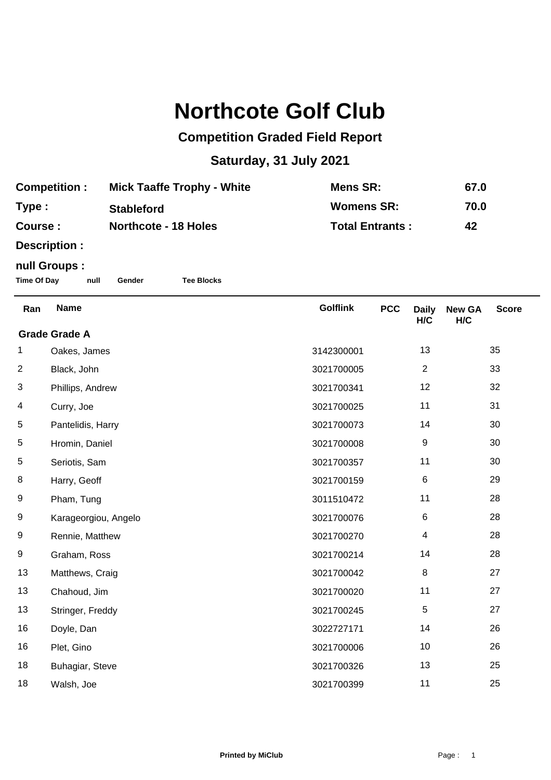## **Northcote Golf Club**

## **Competition Graded Field Report**

## **Saturday, 31 July 2021**

| <b>Competition :</b> | <b>Mick Taaffe Trophy - White</b> | Mens SR:               | 67.0 |
|----------------------|-----------------------------------|------------------------|------|
| Type :               | <b>Stableford</b>                 | <b>Womens SR:</b>      | 70.0 |
| <b>Course :</b>      | <b>Northcote - 18 Holes</b>       | <b>Total Entrants:</b> | 42   |

**Description :**

## **null Groups :**

**Time Of Day null Gender Tee Blocks**

| Ran                  | <b>Name</b>          | <b>Golflink</b> | <b>PCC</b> | <b>Daily</b><br>H/C | <b>New GA</b><br>H/C | <b>Score</b> |  |  |
|----------------------|----------------------|-----------------|------------|---------------------|----------------------|--------------|--|--|
| <b>Grade Grade A</b> |                      |                 |            |                     |                      |              |  |  |
| 1                    | Oakes, James         | 3142300001      |            | 13                  |                      | 35           |  |  |
| $\overline{2}$       | Black, John          | 3021700005      |            | $\overline{2}$      |                      | 33           |  |  |
| 3                    | Phillips, Andrew     | 3021700341      |            | 12                  |                      | 32           |  |  |
| 4                    | Curry, Joe           | 3021700025      |            | 11                  |                      | 31           |  |  |
| 5                    | Pantelidis, Harry    | 3021700073      |            | 14                  |                      | 30           |  |  |
| 5                    | Hromin, Daniel       | 3021700008      |            | 9                   |                      | 30           |  |  |
| $\,$ 5 $\,$          | Seriotis, Sam        | 3021700357      |            | 11                  |                      | 30           |  |  |
| 8                    | Harry, Geoff         | 3021700159      |            | 6                   |                      | 29           |  |  |
| 9                    | Pham, Tung           | 3011510472      |            | 11                  |                      | 28           |  |  |
| 9                    | Karageorgiou, Angelo | 3021700076      |            | 6                   |                      | 28           |  |  |
| 9                    | Rennie, Matthew      | 3021700270      |            | 4                   |                      | 28           |  |  |
| 9                    | Graham, Ross         | 3021700214      |            | 14                  |                      | 28           |  |  |
| 13                   | Matthews, Craig      | 3021700042      |            | 8                   |                      | 27           |  |  |
| 13                   | Chahoud, Jim         | 3021700020      |            | 11                  |                      | 27           |  |  |
| 13                   | Stringer, Freddy     | 3021700245      |            | 5                   |                      | 27           |  |  |
| 16                   | Doyle, Dan           | 3022727171      |            | 14                  |                      | 26           |  |  |
| 16                   | Plet, Gino           | 3021700006      |            | 10                  |                      | 26           |  |  |
| 18                   | Buhagiar, Steve      | 3021700326      |            | 13                  |                      | 25           |  |  |
| 18                   | Walsh, Joe           | 3021700399      |            | 11                  |                      | 25           |  |  |